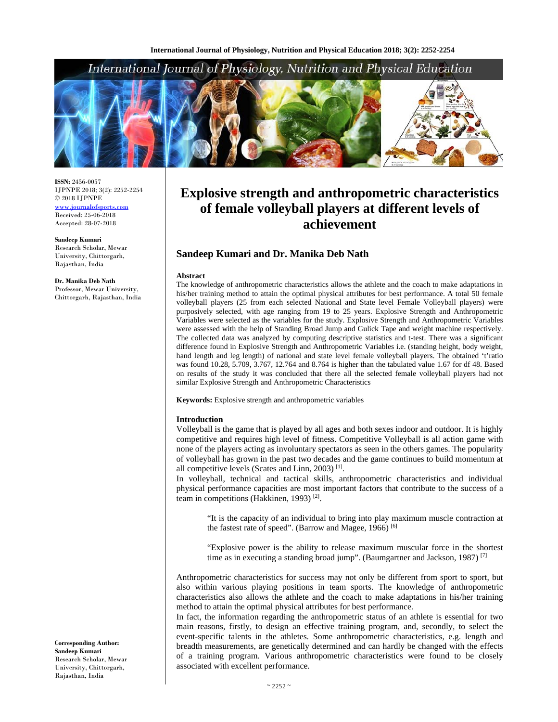## International Journal of Physiology, Nutrition and Physical Education



**ISSN:** 2456-0057 IJPNPE 2018; 3(2): 2252-2254 © 2018 IJPNPE www.journalofsports.com Received: 25-06-2018 Accepted: 28-07-2018

**Sandeep Kumari**  Research Scholar, Mewar University, Chittorgarh, Rajasthan, India

**Dr. Manika Deb Nath**  Professor, Mewar University, Chittorgarh, Rajasthan, India

#### **Corresponding Author: Sandeep Kumari**  Research Scholar, Mewar University, Chittorgarh, Rajasthan, India

# **Explosive strength and anthropometric characteristics of female volleyball players at different levels of achievement**

### **Sandeep Kumari and Dr. Manika Deb Nath**

#### **Abstract**

The knowledge of anthropometric characteristics allows the athlete and the coach to make adaptations in his/her training method to attain the optimal physical attributes for best performance. A total 50 female volleyball players (25 from each selected National and State level Female Volleyball players) were purposively selected, with age ranging from 19 to 25 years. Explosive Strength and Anthropometric Variables were selected as the variables for the study. Explosive Strength and Anthropometric Variables were assessed with the help of Standing Broad Jump and Gulick Tape and weight machine respectively. The collected data was analyzed by computing descriptive statistics and t-test. There was a significant difference found in Explosive Strength and Anthropometric Variables i.e. (standing height, body weight, hand length and leg length) of national and state level female volleyball players. The obtained 't'ratio was found 10.28, 5.709, 3.767, 12.764 and 8.764 is higher than the tabulated value 1.67 for df 48. Based on results of the study it was concluded that there all the selected female volleyball players had not similar Explosive Strength and Anthropometric Characteristics

**Keywords:** Explosive strength and anthropometric variables

#### **Introduction**

Volleyball is the game that is played by all ages and both sexes indoor and outdoor. It is highly competitive and requires high level of fitness. Competitive Volleyball is all action game with none of the players acting as involuntary spectators as seen in the others games. The popularity of volleyball has grown in the past two decades and the game continues to build momentum at all competitive levels (Scates and Linn, 2003)  $^{[1]}$ .

In volleyball, technical and tactical skills, anthropometric characteristics and individual physical performance capacities are most important factors that contribute to the success of a team in competitions (Hakkinen, 1993) [2].

"It is the capacity of an individual to bring into play maximum muscle contraction at the fastest rate of speed". (Barrow and Magee, 1966)<sup>[6]</sup>

"Explosive power is the ability to release maximum muscular force in the shortest time as in executing a standing broad jump". (Baumgartner and Jackson, 1987)<sup>[7]</sup>

Anthropometric characteristics for success may not only be different from sport to sport, but also within various playing positions in team sports. The knowledge of anthropometric characteristics also allows the athlete and the coach to make adaptations in his/her training method to attain the optimal physical attributes for best performance.

In fact, the information regarding the anthropometric status of an athlete is essential for two main reasons, firstly, to design an effective training program, and, secondly, to select the event-specific talents in the athletes. Some anthropometric characteristics, e.g. length and breadth measurements, are genetically determined and can hardly be changed with the effects of a training program. Various anthropometric characteristics were found to be closely associated with excellent performance.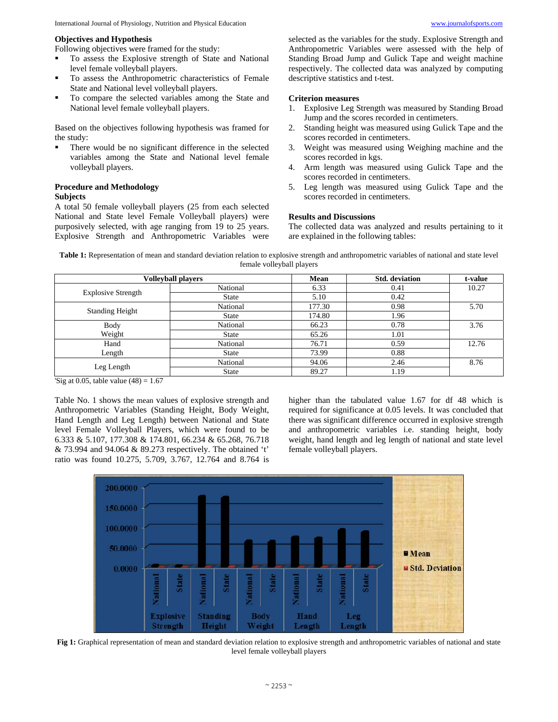#### **Objectives and Hypothesis**

Following objectives were framed for the study:

- To assess the Explosive strength of State and National level female volleyball players.
- To assess the Anthropometric characteristics of Female State and National level volleyball players.
- To compare the selected variables among the State and National level female volleyball players.

Based on the objectives following hypothesis was framed for the study:

 There would be no significant difference in the selected variables among the State and National level female volleyball players.

#### **Procedure and Methodology Subjects**

A total 50 female volleyball players (25 from each selected National and State level Female Volleyball players) were purposively selected, with age ranging from 19 to 25 years. Explosive Strength and Anthropometric Variables were selected as the variables for the study. Explosive Strength and Anthropometric Variables were assessed with the help of Standing Broad Jump and Gulick Tape and weight machine respectively. The collected data was analyzed by computing descriptive statistics and t-test.

#### **Criterion measures**

- 1. Explosive Leg Strength was measured by Standing Broad Jump and the scores recorded in centimeters.
- 2. Standing height was measured using Gulick Tape and the scores recorded in centimeters.
- 3. Weight was measured using Weighing machine and the scores recorded in kgs.
- 4. Arm length was measured using Gulick Tape and the scores recorded in centimeters.
- 5. Leg length was measured using Gulick Tape and the scores recorded in centimeters.

#### **Results and Discussions**

The collected data was analyzed and results pertaining to it are explained in the following tables:

**Table 1:** Representation of mean and standard deviation relation to explosive strength and anthropometric variables of national and state level female volleyball players

| <b>Volleyball players</b> |              | Mean   | <b>Std.</b> deviation | t-value |
|---------------------------|--------------|--------|-----------------------|---------|
| <b>Explosive Strength</b> | National     | 6.33   | 0.41                  | 10.27   |
|                           | <b>State</b> | 5.10   | 0.42                  |         |
| <b>Standing Height</b>    | National     | 177.30 | 0.98                  | 5.70    |
|                           | State        | 174.80 | 1.96                  |         |
| <b>Body</b>               | National     | 66.23  | 0.78                  | 3.76    |
| Weight                    | <b>State</b> | 65.26  | 1.01                  |         |
| Hand                      | National     | 76.71  | 0.59                  | 12.76   |
| Length                    | <b>State</b> | 73.99  | 0.88                  |         |
| Leg Length                | National     | 94.06  | 2.46                  | 8.76    |
|                           | <b>State</b> | 89.27  | 1.19                  |         |

'Sig at 0.05, table value  $(48) = 1.67$ 

Table No. 1 shows the mean values of explosive strength and Anthropometric Variables (Standing Height, Body Weight, Hand Length and Leg Length) between National and State level Female Volleyball Players, which were found to be 6.333 & 5.107, 177.308 & 174.801, 66.234 & 65.268, 76.718 & 73.994 and 94.064 & 89.273 respectively. The obtained 't' ratio was found 10.275, 5.709, 3.767, 12.764 and 8.764 is higher than the tabulated value 1.67 for df 48 which is required for significance at 0.05 levels. It was concluded that there was significant difference occurred in explosive strength and anthropometric variables i.e. standing height, body weight, hand length and leg length of national and state level female volleyball players.



**Fig 1:** Graphical representation of mean and standard deviation relation to explosive strength and anthropometric variables of national and state level female volleyball players